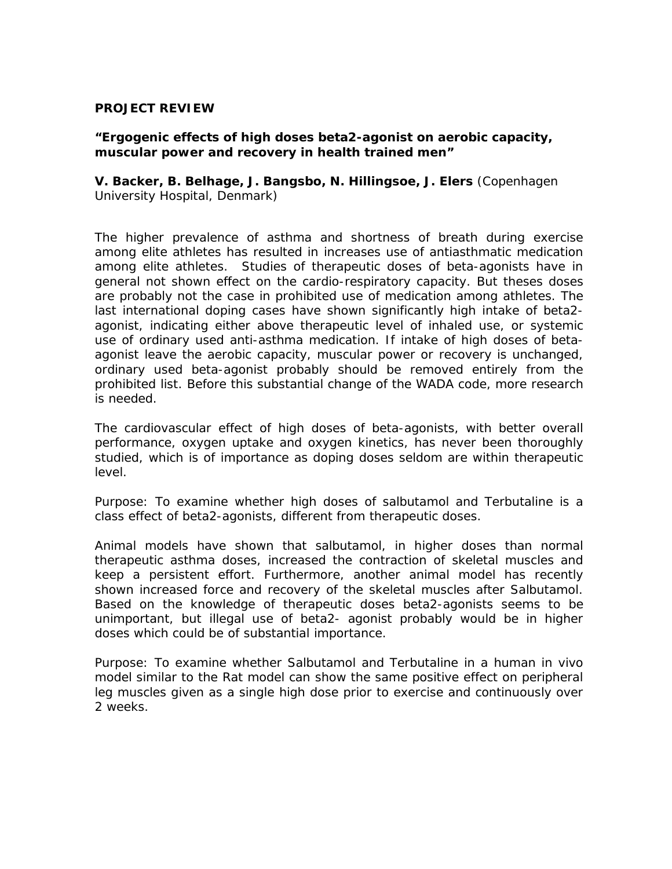## **PROJECT REVIEW**

## **"Ergogenic effects of high doses beta2-agonist on aerobic capacity, muscular power and recovery in health trained men"**

**V. Backer, B. Belhage, J. Bangsbo, N. Hillingsoe, J. Elers** (Copenhagen University Hospital, Denmark)

The higher prevalence of asthma and shortness of breath during exercise among elite athletes has resulted in increases use of antiasthmatic medication among elite athletes. Studies of therapeutic doses of beta-agonists have in general not shown effect on the cardio-respiratory capacity. But theses doses are probably not the case in prohibited use of medication among athletes. The last international doping cases have shown significantly high intake of beta2 agonist, indicating either above therapeutic level of inhaled use, or systemic use of ordinary used anti-asthma medication. If intake of high doses of betaagonist leave the aerobic capacity, muscular power or recovery is unchanged, ordinary used beta-agonist probably should be removed entirely from the prohibited list. Before this substantial change of the WADA code, more research is needed.

The cardiovascular effect of high doses of beta-agonists, with better overall performance, oxygen uptake and oxygen kinetics, has never been thoroughly studied, which is of importance as doping doses seldom are within therapeutic level.

Purpose: To examine whether high doses of salbutamol and Terbutaline is a class effect of beta2-agonists, different from therapeutic doses.

Animal models have shown that salbutamol, in higher doses than normal therapeutic asthma doses, increased the contraction of skeletal muscles and keep a persistent effort. Furthermore, another animal model has recently shown increased force and recovery of the skeletal muscles after Salbutamol. Based on the knowledge of therapeutic doses beta2-agonists seems to be unimportant, but illegal use of beta2- agonist probably would be in higher doses which could be of substantial importance.

Purpose: To examine whether Salbutamol and Terbutaline in a human in vivo model similar to the Rat model can show the same positive effect on peripheral leg muscles given as a single high dose prior to exercise and continuously over 2 weeks.